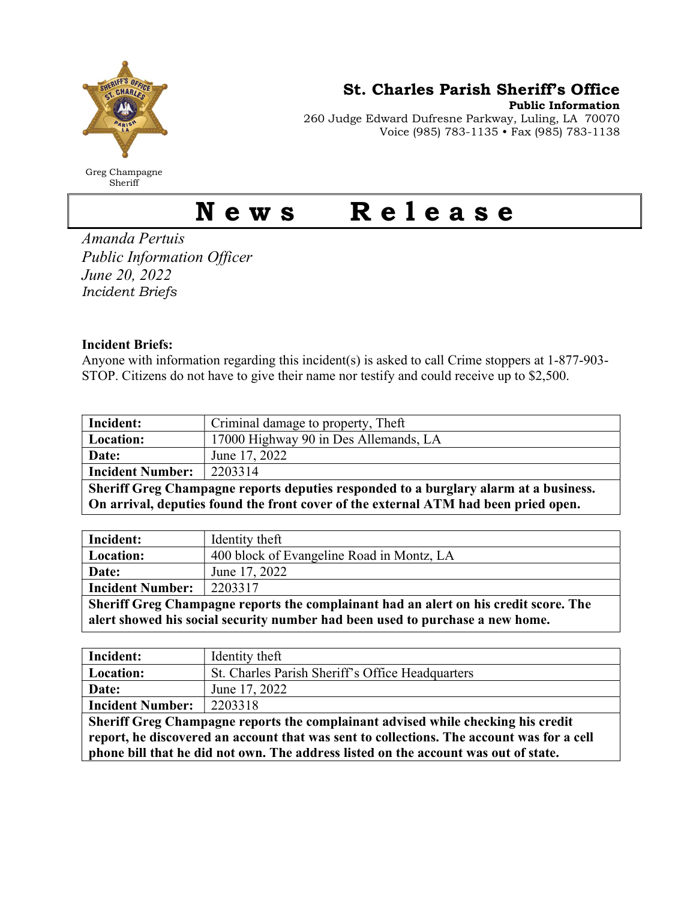

Greg Champagne Sheriff

St. Charles Parish Sheriff's Office

Public Information 260 Judge Edward Dufresne Parkway, Luling, LA 70070 Voice (985) 783-1135 • Fax (985) 783-1138

## News Release

Amanda Pertuis Public Information Officer June 20, 2022 Incident Briefs

## Incident Briefs:

Anyone with information regarding this incident(s) is asked to call Crime stoppers at 1-877-903- STOP. Citizens do not have to give their name nor testify and could receive up to \$2,500.

| Incident:                                                                            | Criminal damage to property, Theft    |  |
|--------------------------------------------------------------------------------------|---------------------------------------|--|
| Location:                                                                            | 17000 Highway 90 in Des Allemands, LA |  |
| Date:                                                                                | June 17, 2022                         |  |
| <b>Incident Number:</b>                                                              | 2203314                               |  |
| Sheriff Greg Champagne reports deputies responded to a burglary alarm at a business. |                                       |  |
| On arrival, deputies found the front cover of the external ATM had been pried open.  |                                       |  |

| Incident:                                                                            | Identity theft                            |  |
|--------------------------------------------------------------------------------------|-------------------------------------------|--|
| Location:                                                                            | 400 block of Evangeline Road in Montz, LA |  |
| Date:                                                                                | June 17, 2022                             |  |
| <b>Incident Number:</b>                                                              | 2203317                                   |  |
| Sheriff Greg Champagne reports the complainant had an alert on his credit score. The |                                           |  |
| alert showed his social security number had been used to purchase a new home.        |                                           |  |

| Incident:                                                                                 | Identity theft                                   |  |
|-------------------------------------------------------------------------------------------|--------------------------------------------------|--|
| Location:                                                                                 | St. Charles Parish Sheriff's Office Headquarters |  |
| Date:                                                                                     | June 17, 2022                                    |  |
| <b>Incident Number:</b>                                                                   | 2203318                                          |  |
| Sheriff Greg Champagne reports the complainant advised while checking his credit          |                                                  |  |
| report, he discovered an account that was sent to collections. The account was for a cell |                                                  |  |
| phone bill that he did not own. The address listed on the account was out of state.       |                                                  |  |